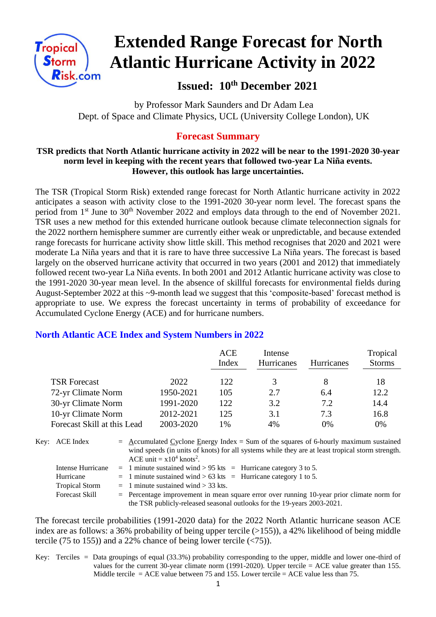

# **Extended Range Forecast for North Atlantic Hurricane Activity in 2022**

 **Issued: 10th December 2021**

 by Professor Mark Saunders and Dr Adam Lea Dept. of Space and Climate Physics, UCL (University College London), UK

## **Forecast Summary**

#### **TSR predicts that North Atlantic hurricane activity in 2022 will be near to the 1991-2020 30-year norm level in keeping with the recent years that followed two-year La Niña events. However, this outlook has large uncertainties.**

The TSR (Tropical Storm Risk) extended range forecast for North Atlantic hurricane activity in 2022 anticipates a season with activity close to the 1991-2020 30-year norm level. The forecast spans the period from 1<sup>st</sup> June to 30<sup>th</sup> November 2022 and employs data through to the end of November 2021. TSR uses a new method for this extended hurricane outlook because climate teleconnection signals for the 2022 northern hemisphere summer are currently either weak or unpredictable, and because extended range forecasts for hurricane activity show little skill. This method recognises that 2020 and 2021 were moderate La Niña years and that it is rare to have three successive La Niña years. The forecast is based largely on the observed hurricane activity that occurred in two years (2001 and 2012) that immediately followed recent two-year La Niña events. In both 2001 and 2012 Atlantic hurricane activity was close to the 1991-2020 30-year mean level. In the absence of skillful forecasts for environmental fields during August-September 2022 at this ~9-month lead we suggest that this 'composite-based' forecast method is appropriate to use. We express the forecast uncertainty in terms of probability of exceedance for Accumulated Cyclone Energy (ACE) and for hurricane numbers.

## **North Atlantic ACE Index and System Numbers in 2022**

|                             |           | <b>ACE</b> | Intense           |                   | Tropical      |
|-----------------------------|-----------|------------|-------------------|-------------------|---------------|
|                             |           | Index      | <b>Hurricanes</b> | <b>Hurricanes</b> | <b>Storms</b> |
| <b>TSR Forecast</b>         | 2022      | 122        | 3                 |                   | 18            |
| 72-yr Climate Norm          | 1950-2021 | 105        | 2.7               | 6.4               | 12.2          |
| 30-yr Climate Norm          | 1991-2020 | 122.       | 3.2               | 7.2               | 14.4          |
| 10-yr Climate Norm          | 2012-2021 | 125        | 3.1               | 7.3               | 16.8          |
| Forecast Skill at this Lead | 2003-2020 | 1%         | 4%                | 0%                | 0%            |

Key: ACE Index  $=$  Accumulated Cyclone Energy Index = Sum of the squares of 6-hourly maximum sustained wind speeds (in units of knots) for all systems while they are at least tropical storm strength. ACE unit =  $x10^4$  knots<sup>2</sup>. Intense Hurricane = 1 minute sustained wind  $> 95$  kts = Hurricane category 3 to 5. Hurricane  $= 1$  minute sustained wind  $> 63$  kts  $=$  Hurricane category 1 to 5.

Tropical Storm  $= 1$  minute sustained wind  $> 33$  kts. Forecast Skill  $=$  Percentage improvement in mean square error over running 10-year prior climate norm for the TSR publicly-released seasonal outlooks for the 19-years 2003-2021.

The forecast tercile probabilities (1991-2020 data) for the 2022 North Atlantic hurricane season ACE index are as follows: a 36% probability of being upper tercile  $(>155)$ ), a 42% likelihood of being middle tercile (75 to 155)) and a 22% chance of being lower tercile  $(\langle 75 \rangle)$ .

Key: Terciles = Data groupings of equal (33.3%) probability corresponding to the upper, middle and lower one-third of values for the current 30-year climate norm (1991-2020). Upper tercile  $=$  ACE value greater than 155. Middle tercile = ACE value between 75 and 155. Lower tercile = ACE value less than 75.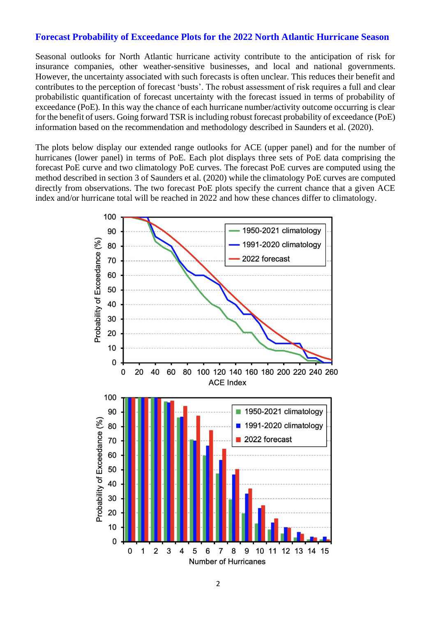#### **Forecast Probability of Exceedance Plots for the 2022 North Atlantic Hurricane Season**

Seasonal outlooks for North Atlantic hurricane activity contribute to the anticipation of risk for insurance companies, other weather-sensitive businesses, and local and national governments. However, the uncertainty associated with such forecasts is often unclear. This reduces their benefit and contributes to the perception of forecast 'busts'. The robust assessment of risk requires a full and clear probabilistic quantification of forecast uncertainty with the forecast issued in terms of probability of exceedance (PoE). In this way the chance of each hurricane number/activity outcome occurring is clear for the benefit of users. Going forward TSR is including robust forecast probability of exceedance (PoE) information based on the recommendation and methodology described in Saunders et al. (2020).

The plots below display our extended range outlooks for ACE (upper panel) and for the number of hurricanes (lower panel) in terms of PoE. Each plot displays three sets of PoE data comprising the forecast PoE curve and two climatology PoE curves. The forecast PoE curves are computed using the method described in section 3 of Saunders et al. (2020) while the climatology PoE curves are computed directly from observations. The two forecast PoE plots specify the current chance that a given ACE index and/or hurricane total will be reached in 2022 and how these chances differ to climatology.

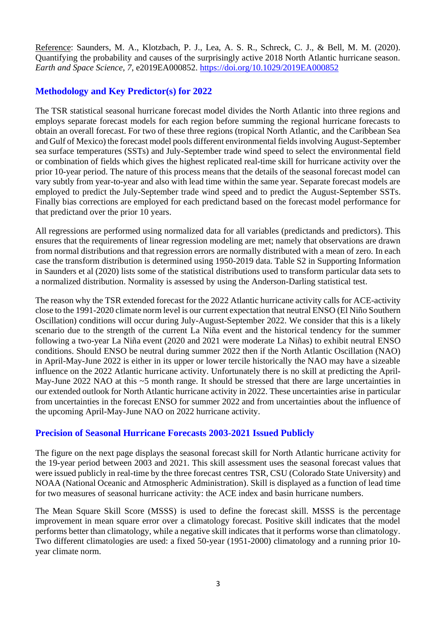Reference: Saunders, M. A., Klotzbach, P. J., Lea, A. S. R., Schreck, C. J., & Bell, M. M. (2020). Quantifying the probability and causes of the surprisingly active 2018 North Atlantic hurricane season. *Earth and Space Science*, *7*, e2019EA000852.<https://doi.org/10.1029/2019EA000852>

## **Methodology and Key Predictor(s) for 2022**

The TSR statistical seasonal hurricane forecast model divides the North Atlantic into three regions and employs separate forecast models for each region before summing the regional hurricane forecasts to obtain an overall forecast. For two of these three regions (tropical North Atlantic, and the Caribbean Sea and Gulf of Mexico) the forecast model pools different environmental fields involving August-September sea surface temperatures (SSTs) and July-September trade wind speed to select the environmental field or combination of fields which gives the highest replicated real-time skill for hurricane activity over the prior 10-year period. The nature of this process means that the details of the seasonal forecast model can vary subtly from year-to-year and also with lead time within the same year. Separate forecast models are employed to predict the July-September trade wind speed and to predict the August-September SSTs. Finally bias corrections are employed for each predictand based on the forecast model performance for that predictand over the prior 10 years.

All regressions are performed using normalized data for all variables (predictands and predictors). This ensures that the requirements of linear regression modeling are met; namely that observations are drawn from normal distributions and that regression errors are normally distributed with a mean of zero. In each case the transform distribution is determined using 1950-2019 data. Table S2 in Supporting Information in Saunders et al (2020) lists some of the statistical distributions used to transform particular data sets to a normalized distribution. Normality is assessed by using the Anderson-Darling statistical test.

The reason why the TSR extended forecast for the 2022 Atlantic hurricane activity calls for ACE-activity close to the 1991-2020 climate norm level is our current expectation that neutral ENSO (El Niño Southern Oscillation) conditions will occur during July-August-September 2022. We consider that this is a likely scenario due to the strength of the current La Niña event and the historical tendency for the summer following a two-year La Niña event (2020 and 2021 were moderate La Niñas) to exhibit neutral ENSO conditions. Should ENSO be neutral during summer 2022 then if the North Atlantic Oscillation (NAO) in April-May-June 2022 is either in its upper or lower tercile historically the NAO may have a sizeable influence on the 2022 Atlantic hurricane activity. Unfortunately there is no skill at predicting the April-May-June 2022 NAO at this ~5 month range. It should be stressed that there are large uncertainties in our extended outlook for North Atlantic hurricane activity in 2022. These uncertainties arise in particular from uncertainties in the forecast ENSO for summer 2022 and from uncertainties about the influence of the upcoming April-May-June NAO on 2022 hurricane activity.

### **Precision of Seasonal Hurricane Forecasts 2003-2021 Issued Publicly**

The figure on the next page displays the seasonal forecast skill for North Atlantic hurricane activity for the 19-year period between 2003 and 2021. This skill assessment uses the seasonal forecast values that were issued publicly in real-time by the three forecast centres TSR, CSU (Colorado State University) and NOAA (National Oceanic and Atmospheric Administration). Skill is displayed as a function of lead time for two measures of seasonal hurricane activity: the ACE index and basin hurricane numbers.

The Mean Square Skill Score (MSSS) is used to define the forecast skill. MSSS is the percentage improvement in mean square error over a climatology forecast. Positive skill indicates that the model performs better than climatology, while a negative skill indicates that it performs worse than climatology. Two different climatologies are used: a fixed 50-year (1951-2000) climatology and a running prior 10 year climate norm.